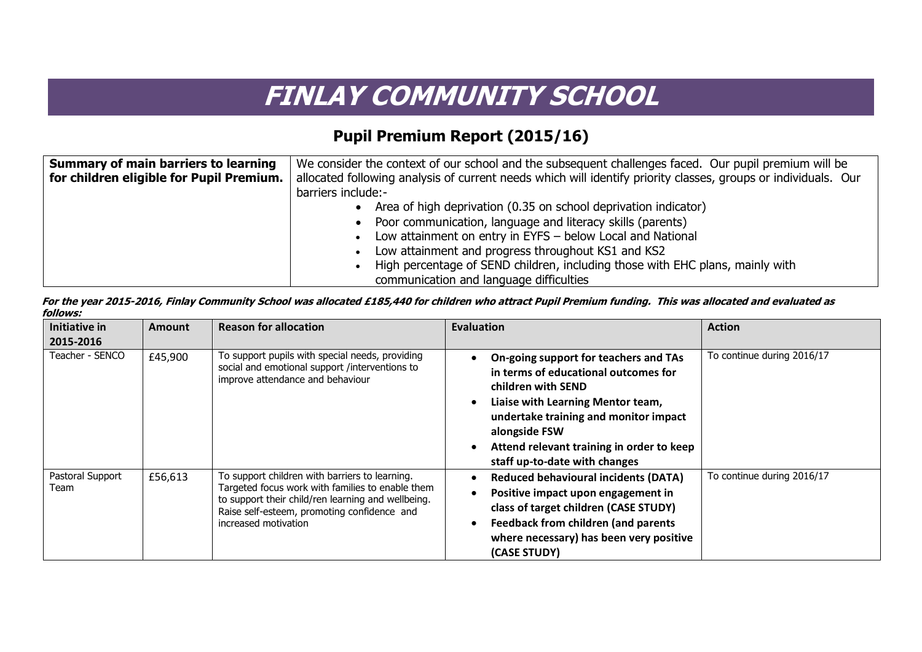## **FINLAY COMMUNITY SCHOOL**

## **Pupil Premium Report (2015/16)**

| <b>Summary of main barriers to learning</b> | We consider the context of our school and the subsequent challenges faced. Our pupil premium will be           |  |  |
|---------------------------------------------|----------------------------------------------------------------------------------------------------------------|--|--|
| for children eligible for Pupil Premium.    | allocated following analysis of current needs which will identify priority classes, groups or individuals. Our |  |  |
|                                             | barriers include:-                                                                                             |  |  |
|                                             | Area of high deprivation (0.35 on school deprivation indicator)                                                |  |  |
|                                             | • Poor communication, language and literacy skills (parents)                                                   |  |  |
|                                             | Low attainment on entry in EYFS - below Local and National<br>$\bullet$                                        |  |  |
|                                             | Low attainment and progress throughout KS1 and KS2<br>$\bullet$                                                |  |  |
|                                             | High percentage of SEND children, including those with EHC plans, mainly with                                  |  |  |
|                                             | communication and language difficulties                                                                        |  |  |

| For the year 2015-2016, Finlay Community School was allocated £185,440 for children who attract Pupil Premium funding. This was allocated and evaluated as |  |
|------------------------------------------------------------------------------------------------------------------------------------------------------------|--|
| follows:                                                                                                                                                   |  |

| Initiative in<br>2015-2016 | <b>Amount</b> | <b>Reason for allocation</b>                                                                                                                                                                                                    | <b>Evaluation</b>                                                                                                                                                                                                                                                                | <b>Action</b>              |
|----------------------------|---------------|---------------------------------------------------------------------------------------------------------------------------------------------------------------------------------------------------------------------------------|----------------------------------------------------------------------------------------------------------------------------------------------------------------------------------------------------------------------------------------------------------------------------------|----------------------------|
| Teacher - SENCO            | £45,900       | To support pupils with special needs, providing<br>social and emotional support /interventions to<br>improve attendance and behaviour                                                                                           | On-going support for teachers and TAs<br>in terms of educational outcomes for<br>children with SEND<br>Liaise with Learning Mentor team,<br>undertake training and monitor impact<br>alongside FSW<br>Attend relevant training in order to keep<br>staff up-to-date with changes | To continue during 2016/17 |
| Pastoral Support<br>Team   | £56,613       | To support children with barriers to learning.<br>Targeted focus work with families to enable them<br>to support their child/ren learning and wellbeing.<br>Raise self-esteem, promoting confidence and<br>increased motivation | <b>Reduced behavioural incidents (DATA)</b><br>Positive impact upon engagement in<br>class of target children (CASE STUDY)<br><b>Feedback from children (and parents</b><br>where necessary) has been very positive<br>(CASE STUDY)                                              | To continue during 2016/17 |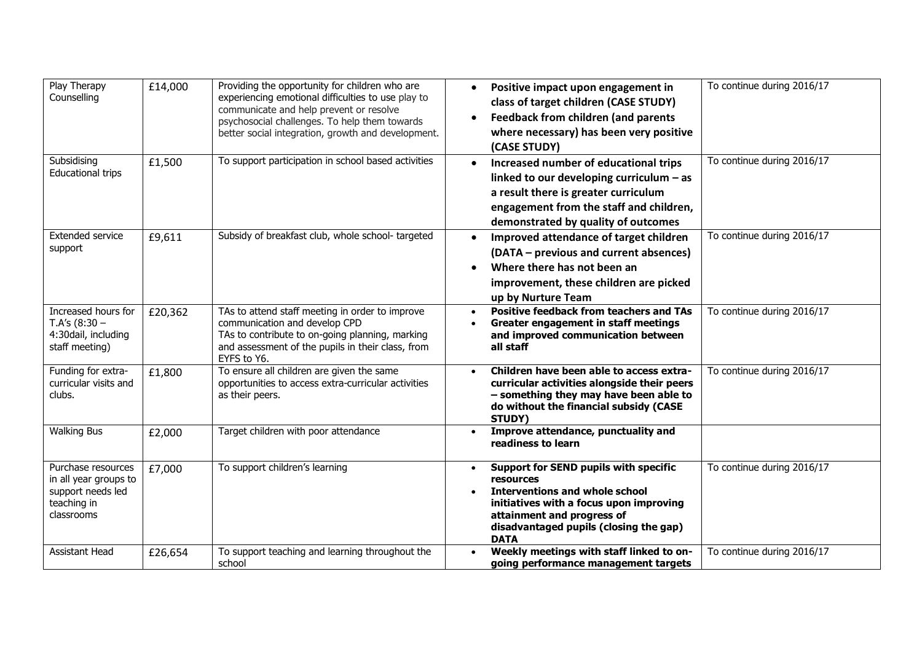| Play Therapy<br>Counselling                                                                   | £14,000 | Providing the opportunity for children who are<br>experiencing emotional difficulties to use play to<br>communicate and help prevent or resolve<br>psychosocial challenges. To help them towards<br>better social integration, growth and development. | Positive impact upon engagement in<br>$\bullet$<br>class of target children (CASE STUDY)<br><b>Feedback from children (and parents</b><br>where necessary) has been very positive<br>(CASE STUDY)                                          | To continue during 2016/17 |
|-----------------------------------------------------------------------------------------------|---------|--------------------------------------------------------------------------------------------------------------------------------------------------------------------------------------------------------------------------------------------------------|--------------------------------------------------------------------------------------------------------------------------------------------------------------------------------------------------------------------------------------------|----------------------------|
| Subsidising<br><b>Educational trips</b>                                                       | £1,500  | To support participation in school based activities                                                                                                                                                                                                    | Increased number of educational trips<br>$\bullet$<br>linked to our developing curriculum $-$ as<br>a result there is greater curriculum<br>engagement from the staff and children,<br>demonstrated by quality of outcomes                 | To continue during 2016/17 |
| <b>Extended service</b><br>support                                                            | £9,611  | Subsidy of breakfast club, whole school-targeted                                                                                                                                                                                                       | Improved attendance of target children<br>$\bullet$<br>(DATA – previous and current absences)<br>Where there has not been an<br>$\bullet$<br>improvement, these children are picked<br>up by Nurture Team                                  | To continue during 2016/17 |
| Increased hours for<br>T.A's $(8:30 -$<br>4:30dail, including<br>staff meeting)               | £20,362 | TAs to attend staff meeting in order to improve<br>communication and develop CPD<br>TAs to contribute to on-going planning, marking<br>and assessment of the pupils in their class, from<br>EYFS to Y6.                                                | <b>Positive feedback from teachers and TAs</b><br>$\bullet$<br>Greater engagement in staff meetings<br>$\bullet$<br>and improved communication between<br>all staff                                                                        | To continue during 2016/17 |
| Funding for extra-<br>curricular visits and<br>clubs.                                         | £1,800  | To ensure all children are given the same<br>opportunities to access extra-curricular activities<br>as their peers.                                                                                                                                    | Children have been able to access extra-<br>$\bullet$<br>curricular activities alongside their peers<br>- something they may have been able to<br>do without the financial subsidy (CASE<br>STUDY)                                         | To continue during 2016/17 |
| <b>Walking Bus</b>                                                                            | £2,000  | Target children with poor attendance                                                                                                                                                                                                                   | Improve attendance, punctuality and<br>$\bullet$<br>readiness to learn                                                                                                                                                                     |                            |
| Purchase resources<br>in all year groups to<br>support needs led<br>teaching in<br>classrooms | £7,000  | To support children's learning                                                                                                                                                                                                                         | Support for SEND pupils with specific<br>$\bullet$<br>resources<br><b>Interventions and whole school</b><br>initiatives with a focus upon improving<br>attainment and progress of<br>disadvantaged pupils (closing the gap)<br><b>DATA</b> | To continue during 2016/17 |
| Assistant Head                                                                                | £26,654 | To support teaching and learning throughout the<br>school                                                                                                                                                                                              | Weekly meetings with staff linked to on-<br>going performance management targets                                                                                                                                                           | To continue during 2016/17 |